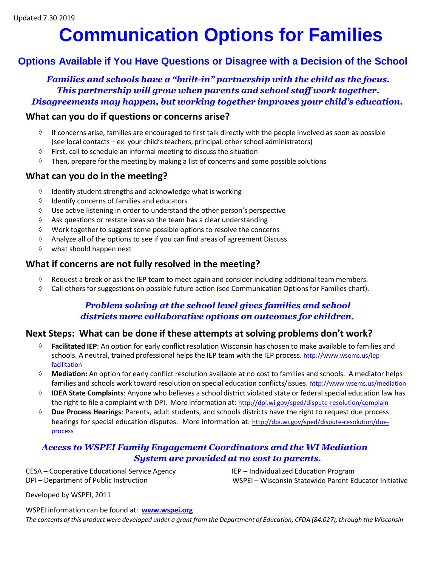## **Communication Options for Families**

#### **Options Available if You Have Questions or Disagree with a Decision of the School**

*Families and schools have a "built-in" partnership with the child as the focus. This partnership will grow when parents and school staff work together. Disagreements may happen, but working together improves your child's education.*

#### **What can you do if questions or concerns arise?**

- If concerns arise, families are encouraged to first talk directly with the people involved as soon as possible (see local contacts – ex: your child'steachers, principal, other school administrators) ◊
- First, call to schedule an informal meeting to discuss the situation ◊
- Then, prepare for the meeting by making a list of concerns and some possible solutions ◊

#### **What can you do in the meeting?**

- ◊ Identify student strengths and acknowledge what is working
- ◊ Identify concerns of families and educators
- ◊ Use active listening in order to understand the other person's perspective
- ◊ Ask questions or restate ideas so the team has a clear understanding
- ◊ Work together to suggest some possible options to resolve the concerns
- ◊ Analyze all of the options to see if you can find areas of agreement Discuss
- ◊ what should happen next

#### **What if concerns are not fully resolved in the meeting?**

- ◊ Request a break or ask the IEP team to meet again and consider including additional team members.
- ◊ Call others for suggestions on possible future action (see Communication Options for Families chart).

#### *Problem solving at the school level gives families and school districts more collaborative options on outcomes for children.*

#### **Next Steps: What can be done if these attempts at solving problems don't work?**

- ◊ **Facilitated IEP**: An option for early conflict resolution Wisconsin has chosen to make available to families [and](http://www.wsems.us/iep-facilitation) schools. A neutral, trained professional helps the IEP team with the IEP process. [http://www.wsems.us/iep](http://www.wsems.us/iep-facilitation)[facilitation](http://www.wsems.us/iep-facilitation)
- **Mediation:** An option for early conflict resolution available at no cost to families and schools. A mediator helps ◊ families and schools work toward resolution on special education conflicts/issues. <http://www.wsems.us/mediation>
- **IDEA State Complaints**: Anyone who believes a school district violated state or federal special education law has the right to file a complaint with DPI. More information at: <http://dpi.wi.gov/sped/dispute-resolution/complain> ◊
- **Due Process Hearings**: Parents, adult students, and schools districts have the right to request due process hearings for special education disputes. More information at: [http://dpi.wi.gov/sped/dispute-resolution/due](http://dpi.wi.gov/sped/dispute-resolution/due-process)[process](http://dpi.wi.gov/sped/dispute-resolution/due-process) ◊

#### *Access to WSPEI Family Engagement Coordinators and the WI Mediation System are provided at no cost to parents.*

CESA – Cooperative Educational Service Agency DPI – Department of Public Instruction

IEP – Individualized Education Program WSPEI – Wisconsin Statewide Parent Educator Initiative

Developed by WSPEI, 2011

WSPEI information can be found at: **[www.wspei.org](http://www.wspei.org/)**

The contents of this product were developed under a grant from the Department of Education, CFDA (84.027), through the Wisconsin